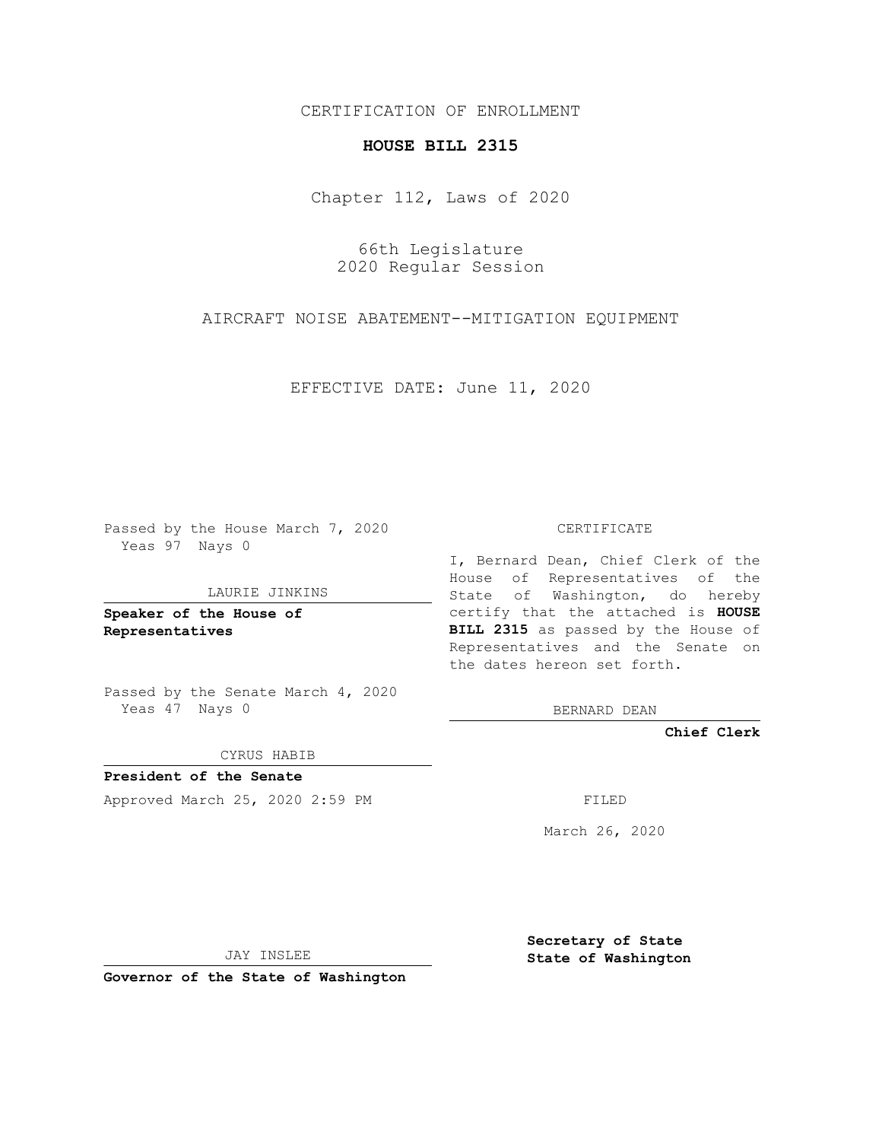CERTIFICATION OF ENROLLMENT

## **HOUSE BILL 2315**

Chapter 112, Laws of 2020

66th Legislature 2020 Regular Session

AIRCRAFT NOISE ABATEMENT--MITIGATION EQUIPMENT

EFFECTIVE DATE: June 11, 2020

Passed by the House March 7, 2020 Yeas 97 Nays 0

LAURIE JINKINS

**Speaker of the House of Representatives**

Passed by the Senate March 4, 2020 Yeas 47 Nays 0

CYRUS HABIB

**President of the Senate** Approved March 25, 2020 2:59 PM FILED

CERTIFICATE

I, Bernard Dean, Chief Clerk of the House of Representatives of the State of Washington, do hereby certify that the attached is **HOUSE BILL 2315** as passed by the House of Representatives and the Senate on the dates hereon set forth.

BERNARD DEAN

**Chief Clerk**

March 26, 2020

JAY INSLEE

**Governor of the State of Washington**

**Secretary of State State of Washington**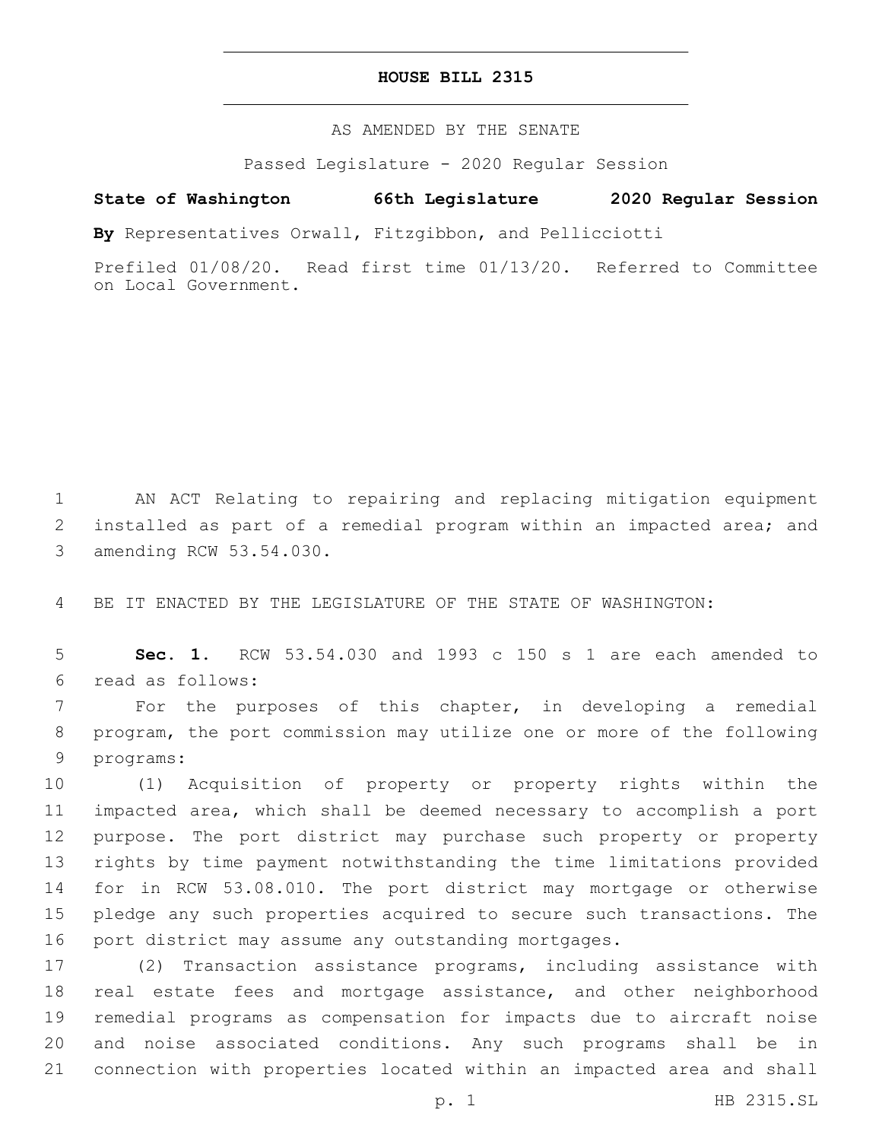## **HOUSE BILL 2315**

AS AMENDED BY THE SENATE

Passed Legislature - 2020 Regular Session

**State of Washington 66th Legislature 2020 Regular Session**

**By** Representatives Orwall, Fitzgibbon, and Pellicciotti

Prefiled 01/08/20. Read first time 01/13/20. Referred to Committee on Local Government.

 AN ACT Relating to repairing and replacing mitigation equipment installed as part of a remedial program within an impacted area; and 3 amending RCW 53.54.030.

BE IT ENACTED BY THE LEGISLATURE OF THE STATE OF WASHINGTON:

 **Sec. 1.** RCW 53.54.030 and 1993 c 150 s 1 are each amended to read as follows:6

 For the purposes of this chapter, in developing a remedial program, the port commission may utilize one or more of the following 9 programs:

 (1) Acquisition of property or property rights within the impacted area, which shall be deemed necessary to accomplish a port purpose. The port district may purchase such property or property rights by time payment notwithstanding the time limitations provided for in RCW 53.08.010. The port district may mortgage or otherwise pledge any such properties acquired to secure such transactions. The port district may assume any outstanding mortgages.

 (2) Transaction assistance programs, including assistance with real estate fees and mortgage assistance, and other neighborhood remedial programs as compensation for impacts due to aircraft noise and noise associated conditions. Any such programs shall be in connection with properties located within an impacted area and shall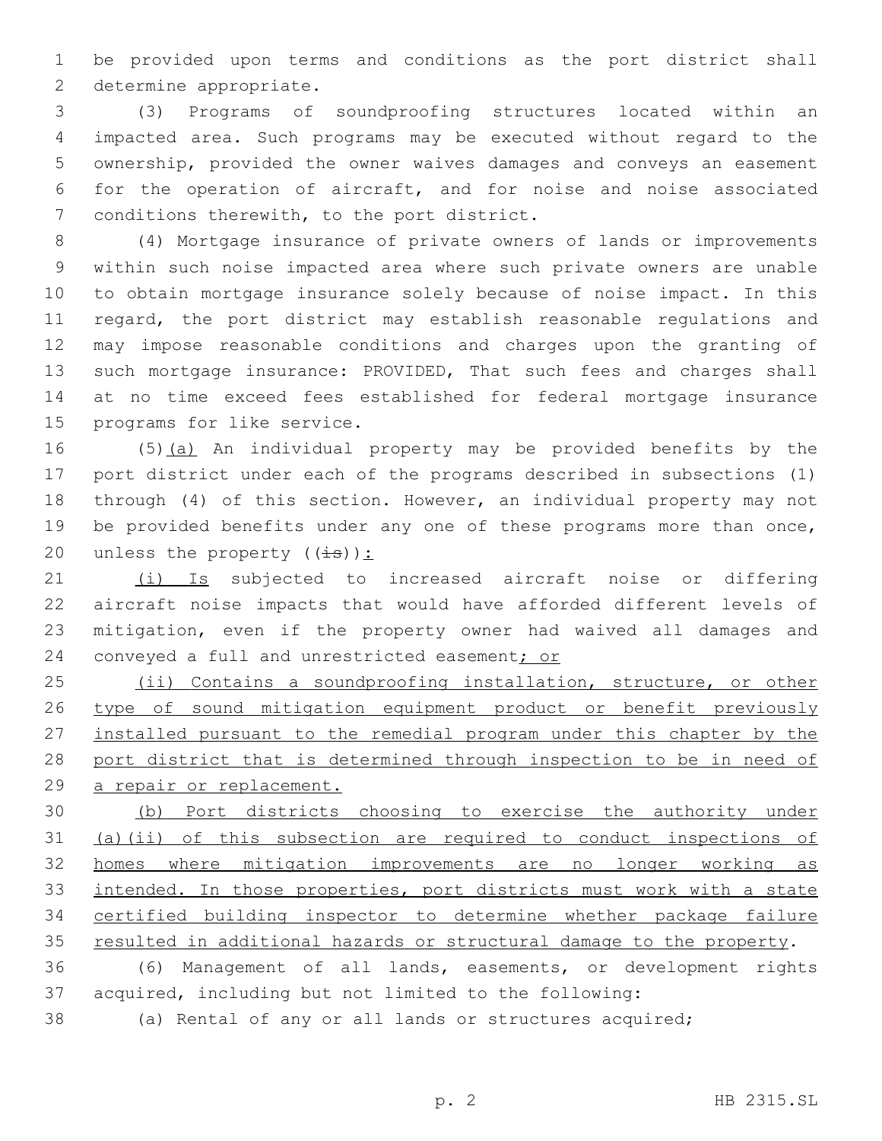be provided upon terms and conditions as the port district shall 2 determine appropriate.

 (3) Programs of soundproofing structures located within an impacted area. Such programs may be executed without regard to the ownership, provided the owner waives damages and conveys an easement for the operation of aircraft, and for noise and noise associated 7 conditions therewith, to the port district.

 (4) Mortgage insurance of private owners of lands or improvements within such noise impacted area where such private owners are unable to obtain mortgage insurance solely because of noise impact. In this regard, the port district may establish reasonable regulations and may impose reasonable conditions and charges upon the granting of such mortgage insurance: PROVIDED, That such fees and charges shall at no time exceed fees established for federal mortgage insurance 15 programs for like service.

 (5)(a) An individual property may be provided benefits by the port district under each of the programs described in subsections (1) through (4) of this section. However, an individual property may not 19 be provided benefits under any one of these programs more than once, 20 unless the property  $((\frac{1}{1}S))^2$ :

21 (i) Is subjected to increased aircraft noise or differing aircraft noise impacts that would have afforded different levels of mitigation, even if the property owner had waived all damages and 24 conveyed a full and unrestricted easement; or

25 (ii) Contains a soundproofing installation, structure, or other 26 type of sound mitigation equipment product or benefit previously installed pursuant to the remedial program under this chapter by the 28 port district that is determined through inspection to be in need of a repair or replacement.

 (b) Port districts choosing to exercise the authority under (a)(ii) of this subsection are required to conduct inspections of homes where mitigation improvements are no longer working as 33 intended. In those properties, port districts must work with a state certified building inspector to determine whether package failure resulted in additional hazards or structural damage to the property.

 (6) Management of all lands, easements, or development rights acquired, including but not limited to the following:

(a) Rental of any or all lands or structures acquired;